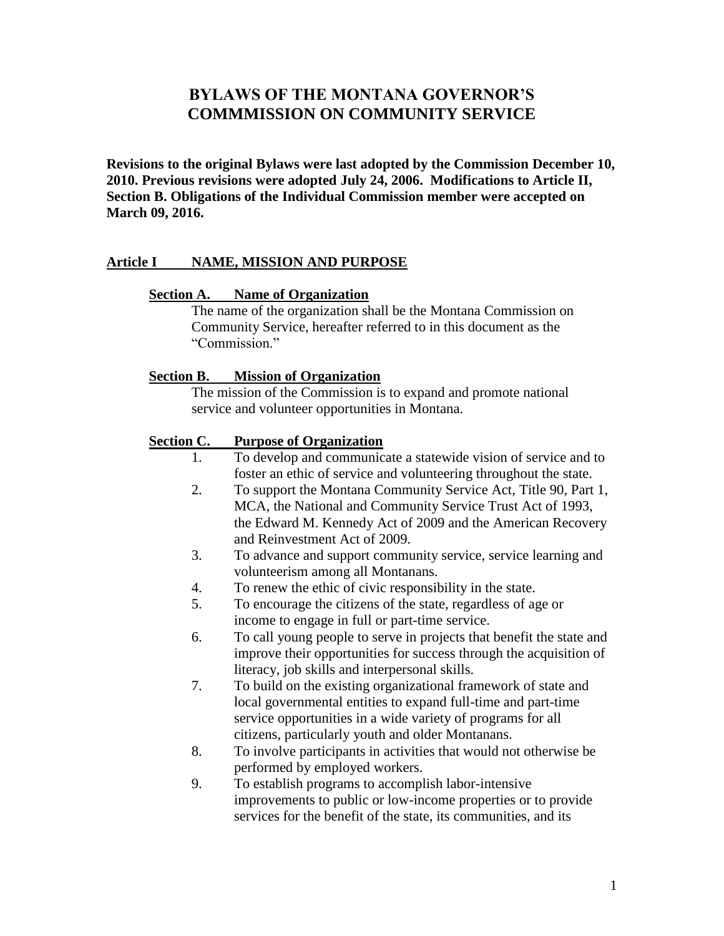# **BYLAWS OF THE MONTANA GOVERNOR'S COMMMISSION ON COMMUNITY SERVICE**

**Revisions to the original Bylaws were last adopted by the Commission December 10, 2010. Previous revisions were adopted July 24, 2006. Modifications to Article II, Section B. Obligations of the Individual Commission member were accepted on March 09, 2016.**

### **Article I NAME, MISSION AND PURPOSE**

#### **Section A. Name of Organization**

The name of the organization shall be the Montana Commission on Community Service, hereafter referred to in this document as the "Commission."

#### **Section B. Mission of Organization**

The mission of the Commission is to expand and promote national service and volunteer opportunities in Montana.

#### **Section C. Purpose of Organization**

- 1. To develop and communicate a statewide vision of service and to foster an ethic of service and volunteering throughout the state.
- 2. To support the Montana Community Service Act, Title 90, Part 1, MCA, the National and Community Service Trust Act of 1993, the Edward M. Kennedy Act of 2009 and the American Recovery and Reinvestment Act of 2009.
- 3. To advance and support community service, service learning and volunteerism among all Montanans.
- 4. To renew the ethic of civic responsibility in the state.
- 5. To encourage the citizens of the state, regardless of age or income to engage in full or part-time service.
- 6. To call young people to serve in projects that benefit the state and improve their opportunities for success through the acquisition of literacy, job skills and interpersonal skills.
- 7. To build on the existing organizational framework of state and local governmental entities to expand full-time and part-time service opportunities in a wide variety of programs for all citizens, particularly youth and older Montanans.
- 8. To involve participants in activities that would not otherwise be performed by employed workers.
- 9. To establish programs to accomplish labor-intensive improvements to public or low-income properties or to provide services for the benefit of the state, its communities, and its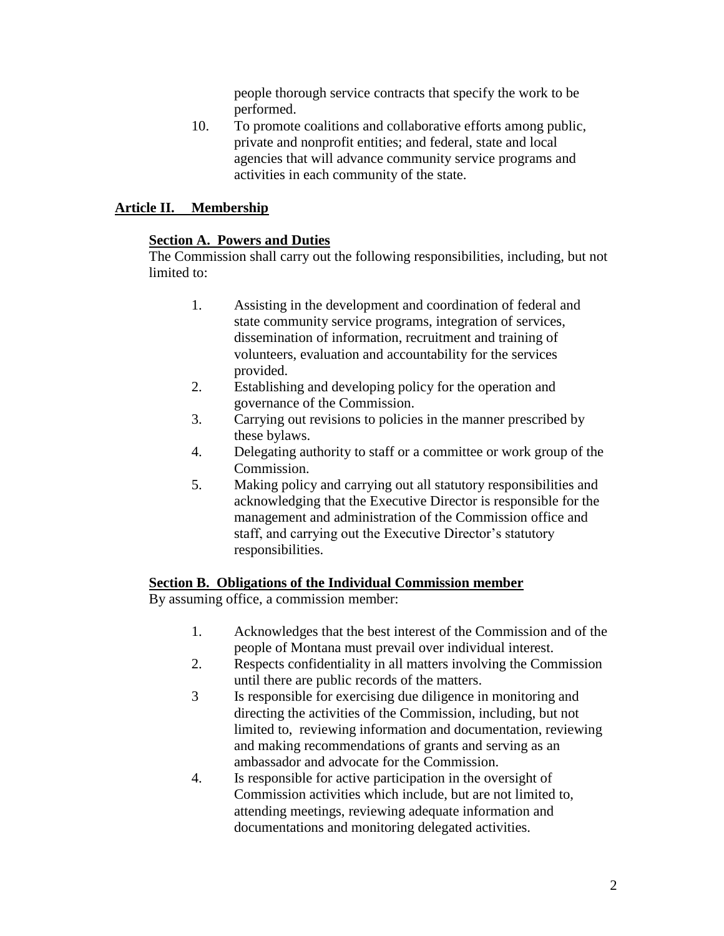people thorough service contracts that specify the work to be performed.

10. To promote coalitions and collaborative efforts among public, private and nonprofit entities; and federal, state and local agencies that will advance community service programs and activities in each community of the state.

## **Article II. Membership**

## **Section A. Powers and Duties**

The Commission shall carry out the following responsibilities, including, but not limited to:

- 1. Assisting in the development and coordination of federal and state community service programs, integration of services, dissemination of information, recruitment and training of volunteers, evaluation and accountability for the services provided.
- 2. Establishing and developing policy for the operation and governance of the Commission.
- 3. Carrying out revisions to policies in the manner prescribed by these bylaws.
- 4. Delegating authority to staff or a committee or work group of the Commission.
- 5. Making policy and carrying out all statutory responsibilities and acknowledging that the Executive Director is responsible for the management and administration of the Commission office and staff, and carrying out the Executive Director's statutory responsibilities.

## **Section B. Obligations of the Individual Commission member**

By assuming office, a commission member:

- 1. Acknowledges that the best interest of the Commission and of the people of Montana must prevail over individual interest.
- 2. Respects confidentiality in all matters involving the Commission until there are public records of the matters.
- 3 Is responsible for exercising due diligence in monitoring and directing the activities of the Commission, including, but not limited to, reviewing information and documentation, reviewing and making recommendations of grants and serving as an ambassador and advocate for the Commission.
- 4. Is responsible for active participation in the oversight of Commission activities which include, but are not limited to, attending meetings, reviewing adequate information and documentations and monitoring delegated activities.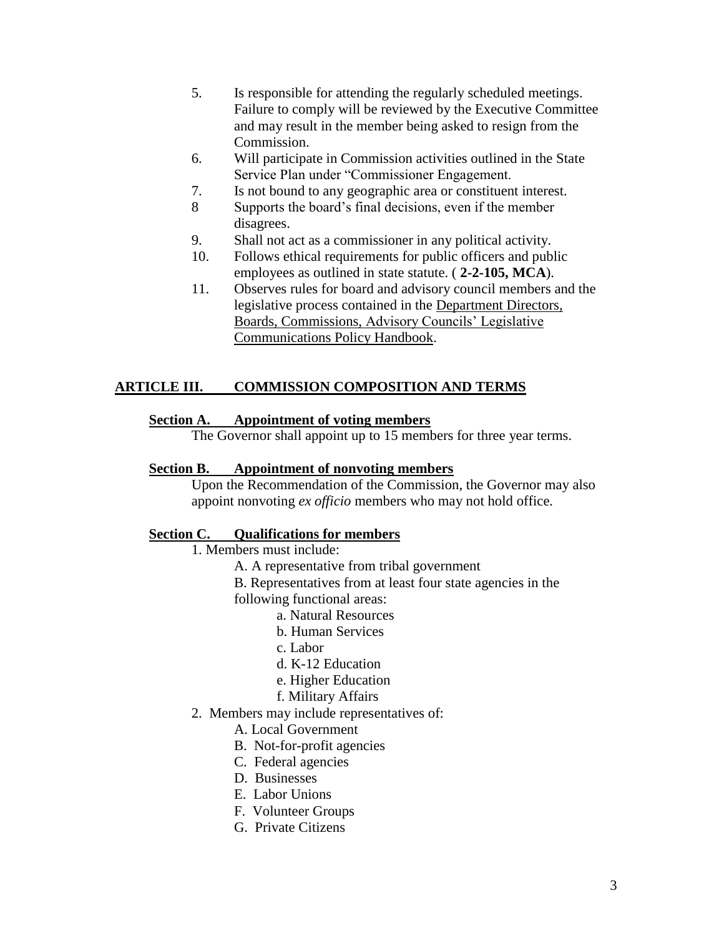- 5. Is responsible for attending the regularly scheduled meetings. Failure to comply will be reviewed by the Executive Committee and may result in the member being asked to resign from the Commission.
- 6. Will participate in Commission activities outlined in the State Service Plan under "Commissioner Engagement.
- 7. Is not bound to any geographic area or constituent interest.
- 8 Supports the board's final decisions, even if the member disagrees.
- 9. Shall not act as a commissioner in any political activity.
- 10. Follows ethical requirements for public officers and public employees as outlined in state statute. ( **2-2-105, MCA**).
- 11. Observes rules for board and advisory council members and the legislative process contained in the Department Directors, Boards, Commissions, Advisory Councils' Legislative Communications Policy Handbook.

# **ARTICLE III. COMMISSION COMPOSITION AND TERMS**

## **Section A. Appointment of voting members**

The Governor shall appoint up to 15 members for three year terms.

## **Section B. Appointment of nonvoting members**

Upon the Recommendation of the Commission, the Governor may also appoint nonvoting *ex officio* members who may not hold office.

# **Section C. Qualifications for members**

- 1. Members must include:
	- A. A representative from tribal government
	- B. Representatives from at least four state agencies in the
	- following functional areas:
		- a. Natural Resources
		- b. Human Services
		- c. Labor
		- d. K-12 Education
		- e. Higher Education
		- f. Military Affairs
- 2. Members may include representatives of:

A. Local Government

- B. Not-for-profit agencies
- C. Federal agencies
- D. Businesses
- E. Labor Unions
- F. Volunteer Groups
- G. Private Citizens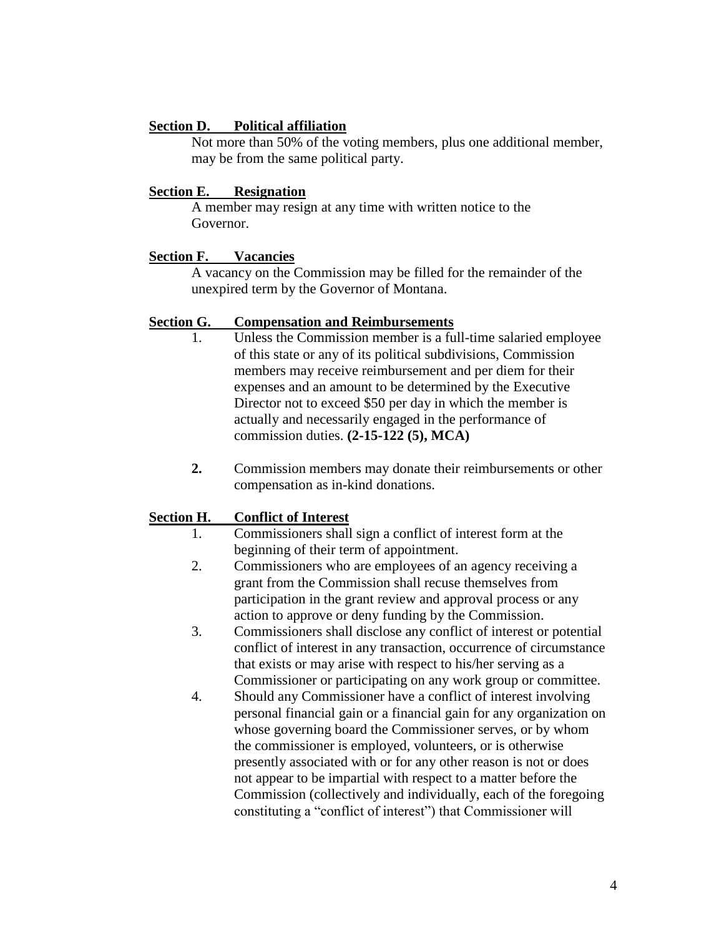### **Section D. Political affiliation**

Not more than 50% of the voting members, plus one additional member, may be from the same political party.

### **Section E. Resignation**

A member may resign at any time with written notice to the Governor.

### **Section F. Vacancies**

A vacancy on the Commission may be filled for the remainder of the unexpired term by the Governor of Montana.

### **Section G. Compensation and Reimbursements**

- 1. Unless the Commission member is a full-time salaried employee of this state or any of its political subdivisions, Commission members may receive reimbursement and per diem for their expenses and an amount to be determined by the Executive Director not to exceed \$50 per day in which the member is actually and necessarily engaged in the performance of commission duties. **(2-15-122 (5), MCA)**
- **2.** Commission members may donate their reimbursements or other compensation as in-kind donations.

## **Section H. Conflict of Interest**

- 1. Commissioners shall sign a conflict of interest form at the beginning of their term of appointment.
- 2. Commissioners who are employees of an agency receiving a grant from the Commission shall recuse themselves from participation in the grant review and approval process or any action to approve or deny funding by the Commission.
- 3. Commissioners shall disclose any conflict of interest or potential conflict of interest in any transaction, occurrence of circumstance that exists or may arise with respect to his/her serving as a Commissioner or participating on any work group or committee.
- 4. Should any Commissioner have a conflict of interest involving personal financial gain or a financial gain for any organization on whose governing board the Commissioner serves, or by whom the commissioner is employed, volunteers, or is otherwise presently associated with or for any other reason is not or does not appear to be impartial with respect to a matter before the Commission (collectively and individually, each of the foregoing constituting a "conflict of interest") that Commissioner will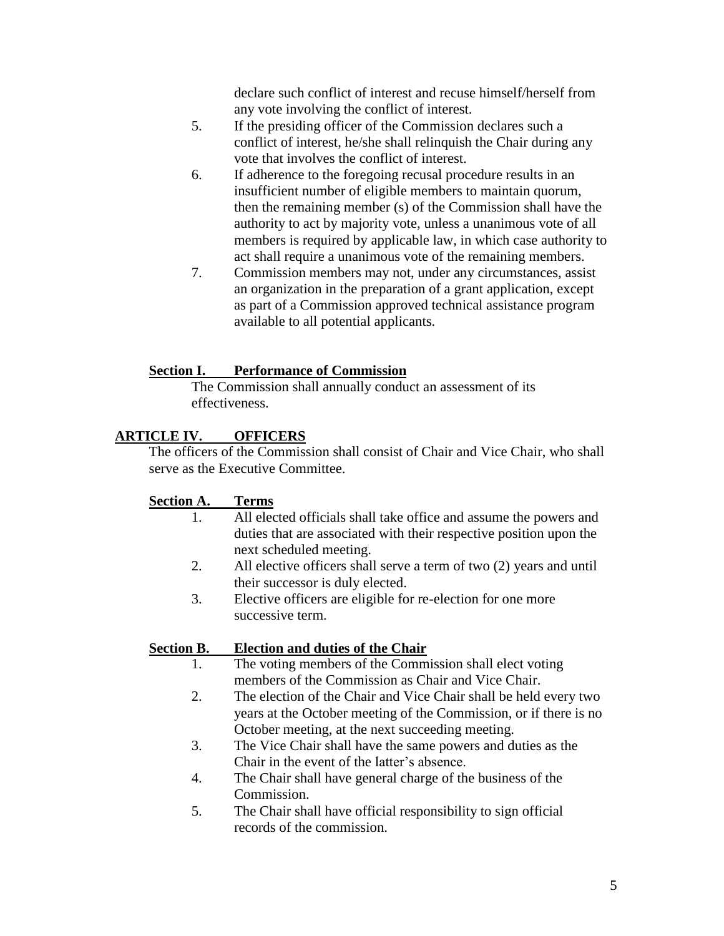declare such conflict of interest and recuse himself/herself from any vote involving the conflict of interest.

- 5. If the presiding officer of the Commission declares such a conflict of interest, he/she shall relinquish the Chair during any vote that involves the conflict of interest.
- 6. If adherence to the foregoing recusal procedure results in an insufficient number of eligible members to maintain quorum, then the remaining member (s) of the Commission shall have the authority to act by majority vote, unless a unanimous vote of all members is required by applicable law, in which case authority to act shall require a unanimous vote of the remaining members.
- 7. Commission members may not, under any circumstances, assist an organization in the preparation of a grant application, except as part of a Commission approved technical assistance program available to all potential applicants.

## **Section I. Performance of Commission**

The Commission shall annually conduct an assessment of its effectiveness.

# **ARTICLE IV. OFFICERS**

The officers of the Commission shall consist of Chair and Vice Chair, who shall serve as the Executive Committee.

# **Section A. Terms**

- 1. All elected officials shall take office and assume the powers and duties that are associated with their respective position upon the next scheduled meeting.
- 2. All elective officers shall serve a term of two (2) years and until their successor is duly elected.
- 3. Elective officers are eligible for re-election for one more successive term.

# **Section B. Election and duties of the Chair**

- 1. The voting members of the Commission shall elect voting members of the Commission as Chair and Vice Chair.
- 2. The election of the Chair and Vice Chair shall be held every two years at the October meeting of the Commission, or if there is no October meeting, at the next succeeding meeting.
- 3. The Vice Chair shall have the same powers and duties as the Chair in the event of the latter's absence.
- 4. The Chair shall have general charge of the business of the Commission.
- 5. The Chair shall have official responsibility to sign official records of the commission.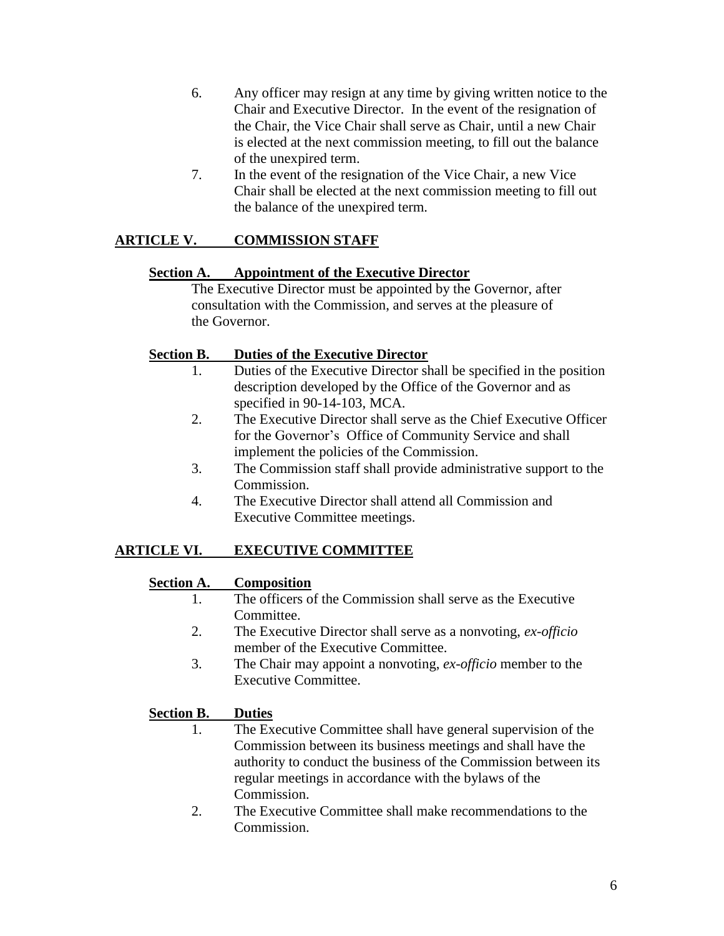- 6. Any officer may resign at any time by giving written notice to the Chair and Executive Director. In the event of the resignation of the Chair, the Vice Chair shall serve as Chair, until a new Chair is elected at the next commission meeting, to fill out the balance of the unexpired term.
- 7. In the event of the resignation of the Vice Chair, a new Vice Chair shall be elected at the next commission meeting to fill out the balance of the unexpired term.

# **ARTICLE V. COMMISSION STAFF**

## **Section A. Appointment of the Executive Director**

The Executive Director must be appointed by the Governor, after consultation with the Commission, and serves at the pleasure of the Governor.

## **Section B. Duties of the Executive Director**

- 1. Duties of the Executive Director shall be specified in the position description developed by the Office of the Governor and as specified in 90-14-103, MCA.
- 2. The Executive Director shall serve as the Chief Executive Officer for the Governor's Office of Community Service and shall implement the policies of the Commission.
- 3. The Commission staff shall provide administrative support to the Commission.
- 4. The Executive Director shall attend all Commission and Executive Committee meetings.

# **ARTICLE VI. EXECUTIVE COMMITTEE**

## **Section A. Composition**

- 1. The officers of the Commission shall serve as the Executive Committee.
- 2. The Executive Director shall serve as a nonvoting, *ex-officio* member of the Executive Committee.
- 3. The Chair may appoint a nonvoting, *ex-officio* member to the Executive Committee.

# **Section B. Duties**

- 1. The Executive Committee shall have general supervision of the Commission between its business meetings and shall have the authority to conduct the business of the Commission between its regular meetings in accordance with the bylaws of the Commission.
- 2. The Executive Committee shall make recommendations to the Commission.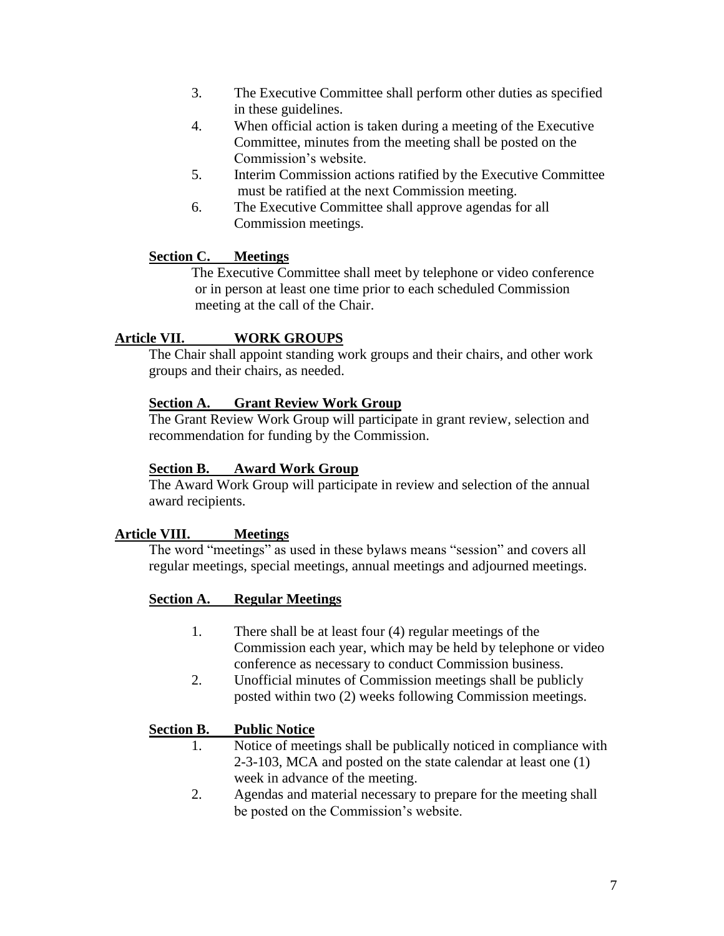- 3. The Executive Committee shall perform other duties as specified in these guidelines.
- 4. When official action is taken during a meeting of the Executive Committee, minutes from the meeting shall be posted on the Commission's website.
- 5. Interim Commission actions ratified by the Executive Committee must be ratified at the next Commission meeting.
- 6. The Executive Committee shall approve agendas for all Commission meetings.

## **Section C. Meetings**

The Executive Committee shall meet by telephone or video conference or in person at least one time prior to each scheduled Commission meeting at the call of the Chair.

## **Article VII. WORK GROUPS**

The Chair shall appoint standing work groups and their chairs, and other work groups and their chairs, as needed.

### **Section A. Grant Review Work Group**

The Grant Review Work Group will participate in grant review, selection and recommendation for funding by the Commission.

### **Section B. Award Work Group**

The Award Work Group will participate in review and selection of the annual award recipients.

## **Article VIII. Meetings**

The word "meetings" as used in these bylaws means "session" and covers all regular meetings, special meetings, annual meetings and adjourned meetings.

### **Section A. Regular Meetings**

- 1. There shall be at least four (4) regular meetings of the Commission each year, which may be held by telephone or video conference as necessary to conduct Commission business.
- 2. Unofficial minutes of Commission meetings shall be publicly posted within two (2) weeks following Commission meetings.

### **Section B. Public Notice**

- 1. Notice of meetings shall be publically noticed in compliance with 2-3-103, MCA and posted on the state calendar at least one (1) week in advance of the meeting.
- 2. Agendas and material necessary to prepare for the meeting shall be posted on the Commission's website.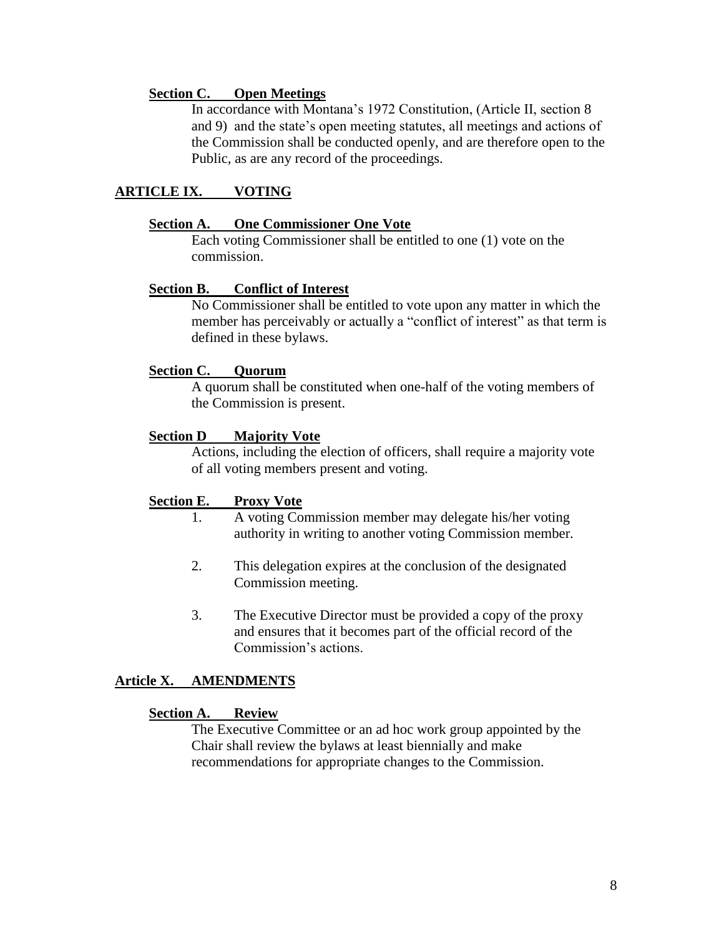### **Section C. Open Meetings**

In accordance with Montana's 1972 Constitution, (Article II, section 8 and 9) and the state's open meeting statutes, all meetings and actions of the Commission shall be conducted openly, and are therefore open to the Public, as are any record of the proceedings.

## **ARTICLE IX. VOTING**

### **Section A. One Commissioner One Vote**

Each voting Commissioner shall be entitled to one (1) vote on the commission.

### **Section B. Conflict of Interest**

No Commissioner shall be entitled to vote upon any matter in which the member has perceivably or actually a "conflict of interest" as that term is defined in these bylaws.

#### **Section C. Quorum**

A quorum shall be constituted when one-half of the voting members of the Commission is present.

#### **Section D Majority Vote**

Actions, including the election of officers, shall require a majority vote of all voting members present and voting.

### **Section E. Proxy Vote**

- 1. A voting Commission member may delegate his/her voting authority in writing to another voting Commission member.
- 2. This delegation expires at the conclusion of the designated Commission meeting.
- 3. The Executive Director must be provided a copy of the proxy and ensures that it becomes part of the official record of the Commission's actions.

### **Article X. AMENDMENTS**

#### **Section A. Review**

The Executive Committee or an ad hoc work group appointed by the Chair shall review the bylaws at least biennially and make recommendations for appropriate changes to the Commission.